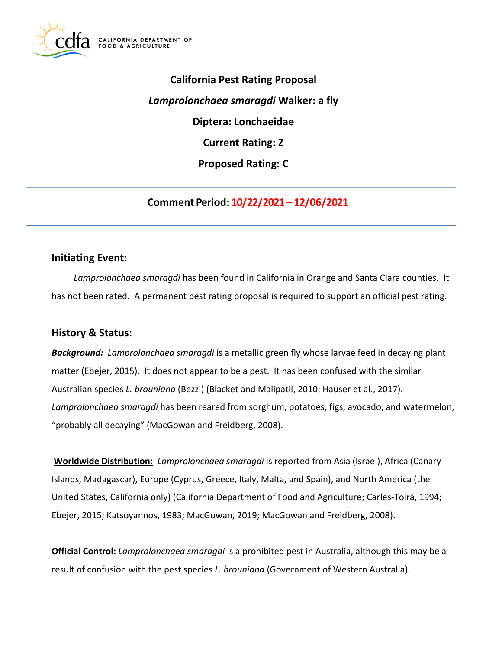

# **California Pest Rating Proposal**  *Lamprolonchaea smaragdi* **Walker: a fly Diptera: Lonchaeidae Current Rating: Z Proposed Rating: C**

**Comment Period: 10/22/2021 – 12/06/2021**

# **Initiating Event:**

*Lamprolonchaea smaragdi* has been found in California in Orange and Santa Clara counties. It has not been rated. A permanent pest rating proposal is required to support an official pest rating.

# **History & Status:**

*Background: Lamprolonchaea smaragdi* is a metallic green fly whose larvae feed in decaying plant matter (Ebejer, 2015). It does not appear to be a pest. It has been confused with the similar Australian species *L. brouniana* (Bezzi) (Blacket and Malipatil, 2010; Hauser et al., 2017). *Lamprolonchaea smaragdi* has been reared from sorghum, potatoes, figs, avocado, and watermelon, "probably all decaying" (MacGowan and Freidberg, 2008).

**Worldwide Distribution:** *Lamprolonchaea smaragdi* is reported from Asia (Israel), Africa (Canary Islands, Madagascar), Europe (Cyprus, Greece, Italy, Malta, and Spain), and North America (the United States, California only) (California Department of Food and Agriculture; Carles-Tolrá, 1994; Ebejer, 2015; Katsoyannos, 1983; MacGowan, 2019; MacGowan and Freidberg, 2008).

**Official Control:** *Lamprolonchaea smaragdi* is a prohibited pest in Australia, although this may be a result of confusion with the pest species *L. brouniana* (Government of Western Australia).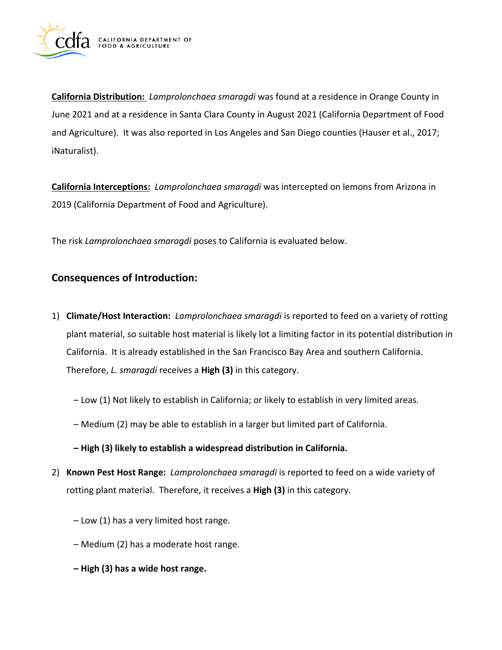

**California Distribution:** *Lamprolonchaea smaragdi* was found at a residence in Orange County in June 2021 and at a residence in Santa Clara County in August 2021 (California Department of Food and Agriculture). It was also reported in Los Angeles and San Diego counties (Hauser et al., 2017; iNaturalist).

**California Interceptions:** *Lamprolonchaea smaragdi* was intercepted on lemons from Arizona in 2019 (California Department of Food and Agriculture).

The risk *Lamprolonchaea smaragdi* poses to California is evaluated below.

## **Consequences of Introduction:**

- 1) **Climate/Host Interaction:** *Lamprolonchaea smaragdi* is reported to feed on a variety of rotting plant material, so suitable host material is likely lot a limiting factor in its potential distribution in California. It is already established in the San Francisco Bay Area and southern California. Therefore, *L. smaragdi* receives a **High (3)** in this category.
	- Low (1) Not likely to establish in California; or likely to establish in very limited areas.
	- Medium (2) may be able to establish in a larger but limited part of California.
	- **– High (3) likely to establish a widespread distribution in California.**
- 2) **Known Pest Host Range:** *Lamprolonchaea smaragdi* is reported to feed on a wide variety of rotting plant material. Therefore, it receives a **High (3)** in this category.
	- Low (1) has a very limited host range.
	- Medium (2) has a moderate host range.
	- **– High (3) has a wide host range.**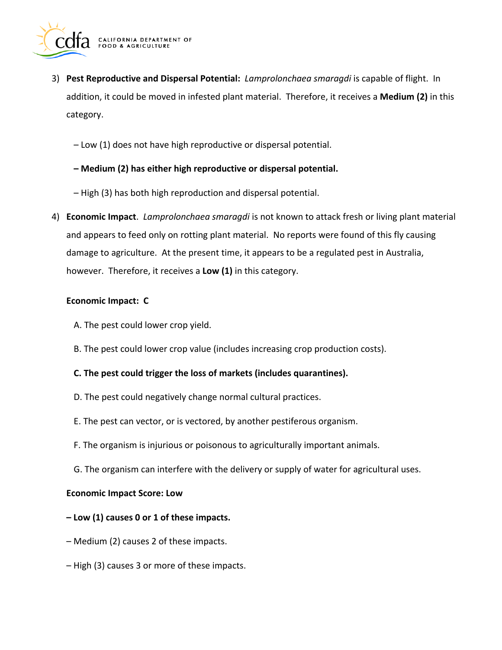

- 3) **Pest Reproductive and Dispersal Potential:** *Lamprolonchaea smaragdi* is capable of flight. In addition, it could be moved in infested plant material. Therefore, it receives a **Medium (2)** in this category.
	- Low (1) does not have high reproductive or dispersal potential.

## **– Medium (2) has either high reproductive or dispersal potential.**

- High (3) has both high reproduction and dispersal potential.
- 4) **Economic Impact**. *Lamprolonchaea smaragdi* is not known to attack fresh or living plant material and appears to feed only on rotting plant material. No reports were found of this fly causing damage to agriculture. At the present time, it appears to be a regulated pest in Australia, however. Therefore, it receives a **Low (1)** in this category.

#### **Economic Impact: C**

- A. The pest could lower crop yield.
- B. The pest could lower crop value (includes increasing crop production costs).

### **C. The pest could trigger the loss of markets (includes quarantines).**

- D. The pest could negatively change normal cultural practices.
- E. The pest can vector, or is vectored, by another pestiferous organism.
- F. The organism is injurious or poisonous to agriculturally important animals.
- G. The organism can interfere with the delivery or supply of water for agricultural uses.

#### **Economic Impact Score: Low**

- **– Low (1) causes 0 or 1 of these impacts.**
- Medium (2) causes 2 of these impacts.
- High (3) causes 3 or more of these impacts.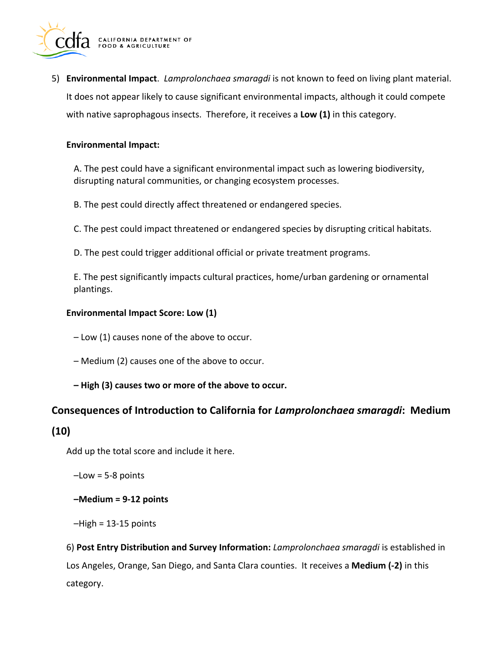

5) **Environmental Impact**. *Lamprolonchaea smaragdi* is not known to feed on living plant material. It does not appear likely to cause significant environmental impacts, although it could compete with native saprophagous insects. Therefore, it receives a **Low (1)** in this category.

#### **Environmental Impact:**

A. The pest could have a significant environmental impact such as lowering biodiversity, disrupting natural communities, or changing ecosystem processes.

B. The pest could directly affect threatened or endangered species.

C. The pest could impact threatened or endangered species by disrupting critical habitats.

D. The pest could trigger additional official or private treatment programs.

E. The pest significantly impacts cultural practices, home/urban gardening or ornamental plantings.

#### **Environmental Impact Score: Low (1)**

– Low (1) causes none of the above to occur.

– Medium (2) causes one of the above to occur.

### **– High (3) causes two or more of the above to occur.**

# **Consequences of Introduction to California for** *Lamprolonchaea smaragdi***: Medium**

### **(10)**

Add up the total score and include it here.

 $-Low = 5-8$  points

**–Medium = 9-12 points** 

 $-High = 13-15$  points

6) **Post Entry Distribution and Survey Information:** *Lamprolonchaea smaragdi* is established in Los Angeles, Orange, San Diego, and Santa Clara counties. It receives a **Medium (-2)** in this category.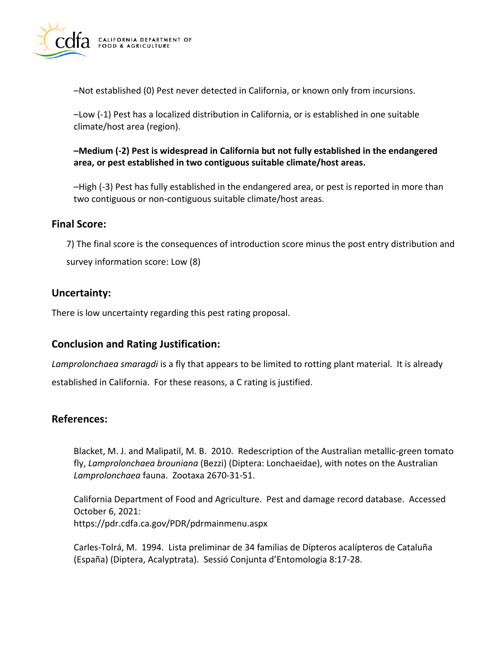

–Not established (0) Pest never detected in California, or known only from incursions.

–Low (-1) Pest has a localized distribution in California, or is established in one suitable climate/host area (region).

**–Medium (-2) Pest is widespread in California but not fully established in the endangered area, or pest established in two contiguous suitable climate/host areas.** 

–High (-3) Pest has fully established in the endangered area, or pest is reported in more than two contiguous or non-contiguous suitable climate/host areas.

## **Final Score:**

7) The final score is the consequences of introduction score minus the post entry distribution and survey information score: Low (8)

# **Uncertainty:**

There is low uncertainty regarding this pest rating proposal.

# **Conclusion and Rating Justification:**

*Lamprolonchaea smaragdi* is a fly that appears to be limited to rotting plant material. It is already established in California. For these reasons, a C rating is justified.

# **References:**

Blacket, M. J. and Malipatil, M. B. 2010. Redescription of the Australian metallic-green tomato fly, *Lamprolonchaea brouniana* (Bezzi) (Diptera: Lonchaeidae), with notes on the Australian *Lamprolonchaea* fauna. Zootaxa 2670-31-51.

California Department of Food and Agriculture. Pest and damage record database. Accessed October 6, 2021: <https://pdr.cdfa.ca.gov/PDR/pdrmainmenu.aspx>

Carles-Tolrá, M. 1994. Lista preliminar de 34 familias de Dípteros acalípteros de Cataluña (España) (Diptera, Acalyptrata). Sessió Conjunta d'Entomologia 8:17-28.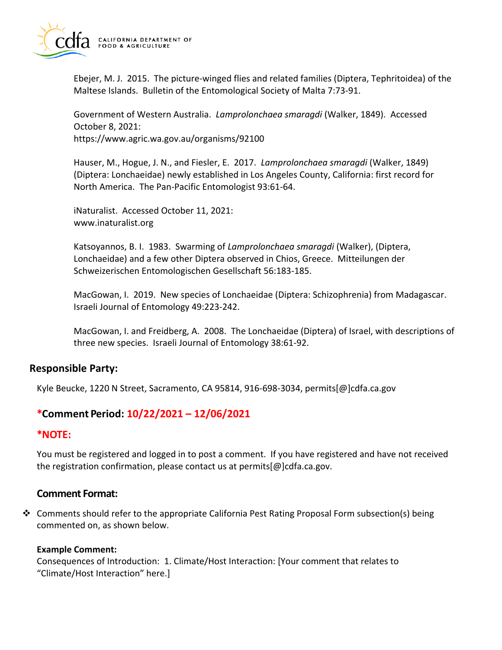

Ebejer, M. J. 2015. The picture-winged flies and related families (Diptera, Tephritoidea) of the Maltese Islands. Bulletin of the Entomological Society of Malta 7:73-91.

Government of Western Australia. *Lamprolonchaea smaragdi* (Walker, 1849). Accessed October 8, 2021: <https://www.agric.wa.gov.au/organisms/92100>

Hauser, M., Hogue, J. N., and Fiesler, E. 2017. *Lamprolonchaea smaragdi* (Walker, 1849) (Diptera: Lonchaeidae) newly established in Los Angeles County, California: first record for North America. The Pan-Pacific Entomologist 93:61-64.

iNaturalist. Accessed October 11, 2021: <www.inaturalist.org>

Katsoyannos, B. I. 1983. Swarming of *Lamprolonchaea smaragdi* (Walker), (Diptera, Lonchaeidae) and a few other Diptera observed in Chios, Greece. Mitteilungen der Schweizerischen Entomologischen Gesellschaft 56:183-185.

MacGowan, I. 2019. New species of Lonchaeidae (Diptera: Schizophrenia) from Madagascar. Israeli Journal of Entomology 49:223-242.

MacGowan, I. and Freidberg, A. 2008. The Lonchaeidae (Diptera) of Israel, with descriptions of three new species. Israeli Journal of Entomology 38:61-92.

### **Responsible Party:**

Kyle Beucke, 1220 N Street, Sacramento, CA 95814, 916-698-3034, [permits\[@\]cdfa.ca.gov](https://permits[@]cdfa.ca.gov) 

# **\*Comment Period: 10/22/2021 – 12/06/2021**

### **\*NOTE:**

You must be registered and logged in to post a comment. If you have registered and have not received the registration confirmation, please contact us at [permits\[@\]cdfa.ca.gov](https://permits[@]cdfa.ca.gov).

## **Comment Format:**

❖ Comments should refer to the appropriate California Pest Rating Proposal Form subsection(s) being commented on, as shown below.

#### **Example Comment:**

Consequences of Introduction: 1. Climate/Host Interaction: [Your comment that relates to "Climate/Host Interaction" here.]